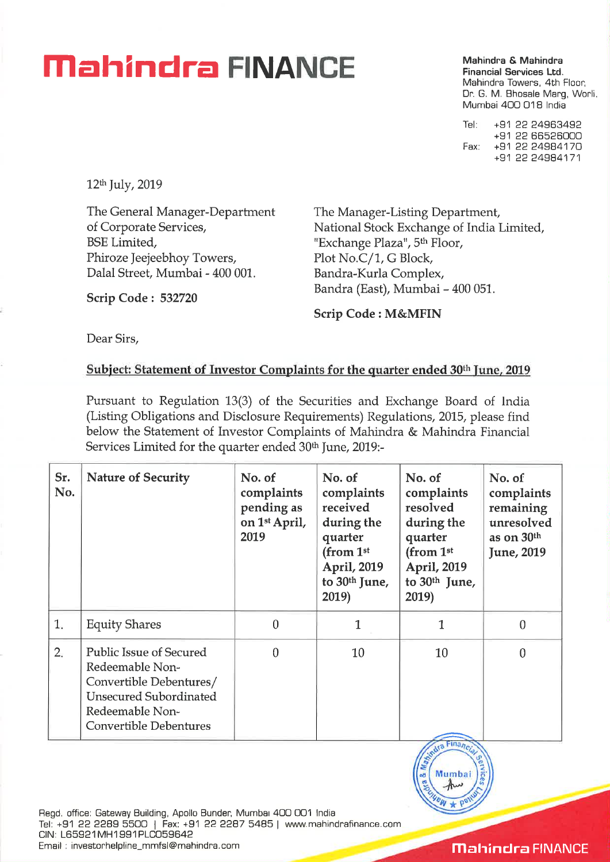## **Mahindra & Mahindra & Mahindra & Mahindra**

**Financial Services Ltd.**  Mahindra Towers, 4th Floor, Dr. G. M. Bhosale Marg, Worli. Mumbai 400 018 India

Tel: +91 22 24963492 +91 22 66526000 Fax: +91 22 24984170 +91 22 24984171

12th July, 2019

The General Manager-Department of Corporate Services, BSE Limited, Phiroze Jeejeebhoy Towers, Dalal Street, Mumbai - 400 001.

The Manager-Listing Department, National Stock Exchange of India Limited, "Exchange Plaza", 5<sup>th</sup> Floor, Plot No.C/1, G Block, Bandra-Kurla Complex, Bandra (East), Mumbai - 400 051.

**Scrip Code : 532720** 

**Scrip Code : M&MFIN** 

Dear Sirs,

## **Subject: Statement of Investor Complaints for the quarter ended 30th June, 2019**

Pursuant to Regulation 13(3) of the Securities and Exchange Board of India (Listing Obligations and Disclosure Requirements) Regulations, 2015, please find below the Statement of Investor Complaints of Mahindra & Mahindra Financial Services Limited for the quarter ended 30<sup>th</sup> June, 2019:-

| Sr.<br>No. | <b>Nature of Security</b>                                                                                                                                         | No. of<br>complaints<br>pending as<br>on 1 <sup>st</sup> April,<br>2019 | No. of<br>complaints<br>received<br>during the<br>quarter<br>(from 1 <sup>st</sup><br>April, 2019<br>to $30th$ June,<br>2019) | No. of<br>complaints<br>resolved<br>during the<br>quarter<br>(from 1 <sup>st</sup><br>April, 2019<br>to 30 <sup>th</sup> June,<br>2019) | No. of<br>complaints<br>remaining<br>unresolved<br>as on $30th$<br>June, 2019 |
|------------|-------------------------------------------------------------------------------------------------------------------------------------------------------------------|-------------------------------------------------------------------------|-------------------------------------------------------------------------------------------------------------------------------|-----------------------------------------------------------------------------------------------------------------------------------------|-------------------------------------------------------------------------------|
| 1.         | <b>Equity Shares</b>                                                                                                                                              | $\theta$                                                                |                                                                                                                               |                                                                                                                                         | 0                                                                             |
| 2.         | <b>Public Issue of Secured</b><br>Redeemable Non-<br>Convertible Debentures/<br><b>Unsecured Subordinated</b><br>Redeemable Non-<br><b>Convertible Debentures</b> | $\Omega$                                                                | 10                                                                                                                            | 10                                                                                                                                      |                                                                               |



Regd. office: Gateway Building, Apollo Bunder, Mumbai 400 001 India Tel: +91 22 2289 5500 | Fax: +91 22 2287 5485 | www.mahindrafinance.com CIN: L65921MH1991PLC059642 Email : investorhelpline\_mmfsl@mahindra.com

**Mahindra FINANCE**